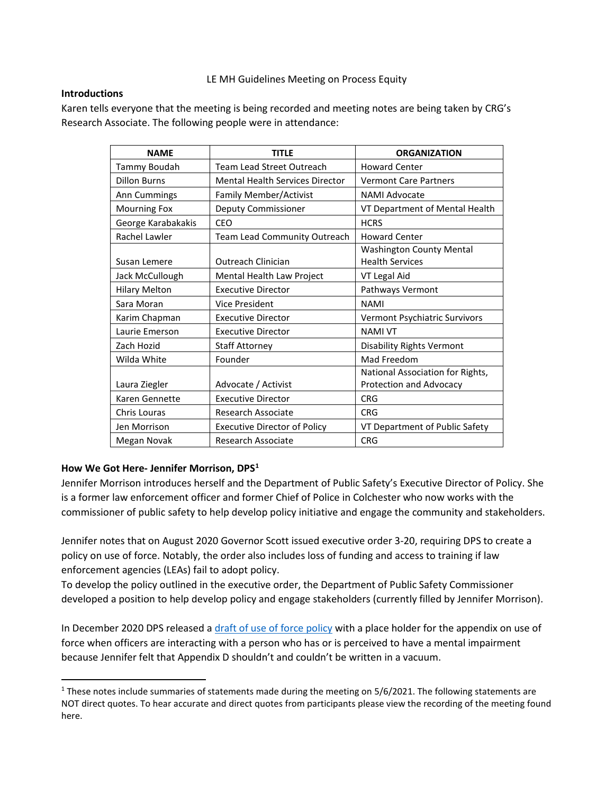### LE MH Guidelines Meeting on Process Equity

### **Introductions**

Karen tells everyone that the meeting is being recorded and meeting notes are being taken by CRG's Research Associate. The following people were in attendance:

| <b>NAME</b>          | <b>TITLE</b>                           | <b>ORGANIZATION</b>              |
|----------------------|----------------------------------------|----------------------------------|
| Tammy Boudah         | Team Lead Street Outreach              | <b>Howard Center</b>             |
| <b>Dillon Burns</b>  | <b>Mental Health Services Director</b> | <b>Vermont Care Partners</b>     |
| Ann Cummings         | Family Member/Activist                 | NAMI Advocate                    |
| <b>Mourning Fox</b>  | Deputy Commissioner                    | VT Department of Mental Health   |
| George Karabakakis   | CEO                                    | <b>HCRS</b>                      |
| Rachel Lawler        | Team Lead Community Outreach           | <b>Howard Center</b>             |
|                      |                                        | <b>Washington County Mental</b>  |
| Susan Lemere         | Outreach Clinician                     | <b>Health Services</b>           |
| Jack McCullough      | Mental Health Law Project              | VT Legal Aid                     |
| <b>Hilary Melton</b> | <b>Executive Director</b>              | Pathways Vermont                 |
| Sara Moran           | Vice President                         | <b>NAMI</b>                      |
| Karim Chapman        | <b>Executive Director</b>              | Vermont Psychiatric Survivors    |
| Laurie Emerson       | <b>Executive Director</b>              | <b>NAMI VT</b>                   |
| Zach Hozid           | <b>Staff Attorney</b>                  | <b>Disability Rights Vermont</b> |
| Wilda White          | Founder                                | Mad Freedom                      |
|                      |                                        | National Association for Rights, |
| Laura Ziegler        | Advocate / Activist                    | Protection and Advocacy          |
| Karen Gennette       | <b>Executive Director</b>              | <b>CRG</b>                       |
| Chris Louras         | Research Associate                     | <b>CRG</b>                       |
| Jen Morrison         | <b>Executive Director of Policy</b>    | VT Department of Public Safety   |
| Megan Novak          | <b>Research Associate</b>              | <b>CRG</b>                       |

# **How We Got Here- Jennifer Morrison, DPS[1](#page-0-0)**

Jennifer Morrison introduces herself and the Department of Public Safety's Executive Director of Policy. She is a former law enforcement officer and former Chief of Police in Colchester who now works with the commissioner of public safety to help develop policy initiative and engage the community and stakeholders.

Jennifer notes that on August 2020 Governor Scott issued executive order 3-20, requiring DPS to create a policy on use of force. Notably, the order also includes loss of funding and access to training if law enforcement agencies (LEAs) fail to adopt policy.

To develop the policy outlined in the executive order, the Department of Public Safety Commissioner developed a position to help develop policy and engage stakeholders (currently filled by Jennifer Morrison).

In December 2020 DPS released a [draft of use of force](https://dps.vermont.gov/sites/psd/files/documents/Feedback_fall2020/UOF_policy_DRAFT_DEC2020.pdf) policy with a place holder for the appendix on use of force when officers are interacting with a person who has or is perceived to have a mental impairment because Jennifer felt that Appendix D shouldn't and couldn't be written in a vacuum.

<span id="page-0-0"></span><sup>&</sup>lt;sup>1</sup> These notes include summaries of statements made during the meeting on  $5/6/2021$ . The following statements are NOT direct quotes. To hear accurate and direct quotes from participants please view the recording of the meeting found here.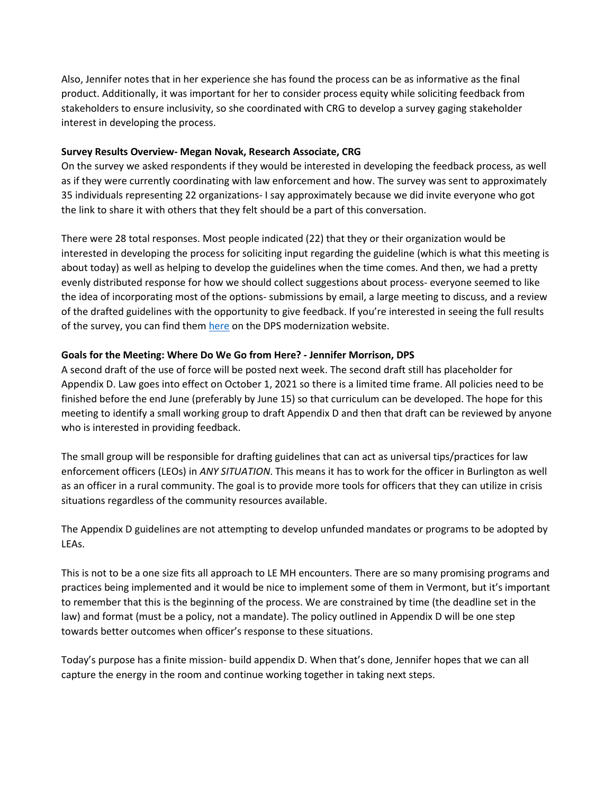Also, Jennifer notes that in her experience she has found the process can be as informative as the final product. Additionally, it was important for her to consider process equity while soliciting feedback from stakeholders to ensure inclusivity, so she coordinated with CRG to develop a survey gaging stakeholder interest in developing the process.

#### **Survey Results Overview- Megan Novak, Research Associate, CRG**

On the survey we asked respondents if they would be interested in developing the feedback process, as well as if they were currently coordinating with law enforcement and how. The survey was sent to approximately 35 individuals representing 22 organizations- I say approximately because we did invite everyone who got the link to share it with others that they felt should be a part of this conversation.

There were 28 total responses. Most people indicated (22) that they or their organization would be interested in developing the process for soliciting input regarding the guideline (which is what this meeting is about today) as well as helping to develop the guidelines when the time comes. And then, we had a pretty evenly distributed response for how we should collect suggestions about process- everyone seemed to like the idea of incorporating most of the options- submissions by email, a large meeting to discuss, and a review of the drafted guidelines with the opportunity to give feedback. If you're interested in seeing the full results of the survey, you can find them [here](https://dps.vermont.gov/sites/psd/files/documents/LEMHsurveyResultsSummary.pdf) on the DPS modernization website.

### **Goals for the Meeting: Where Do We Go from Here? - Jennifer Morrison, DPS**

A second draft of the use of force will be posted next week. The second draft still has placeholder for Appendix D. Law goes into effect on October 1, 2021 so there is a limited time frame. All policies need to be finished before the end June (preferably by June 15) so that curriculum can be developed. The hope for this meeting to identify a small working group to draft Appendix D and then that draft can be reviewed by anyone who is interested in providing feedback.

The small group will be responsible for drafting guidelines that can act as universal tips/practices for law enforcement officers (LEOs) in *ANY SITUATION*. This means it has to work for the officer in Burlington as well as an officer in a rural community. The goal is to provide more tools for officers that they can utilize in crisis situations regardless of the community resources available.

The Appendix D guidelines are not attempting to develop unfunded mandates or programs to be adopted by LEAs.

This is not to be a one size fits all approach to LE MH encounters. There are so many promising programs and practices being implemented and it would be nice to implement some of them in Vermont, but it's important to remember that this is the beginning of the process. We are constrained by time (the deadline set in the law) and format (must be a policy, not a mandate). The policy outlined in Appendix D will be one step towards better outcomes when officer's response to these situations.

Today's purpose has a finite mission- build appendix D. When that's done, Jennifer hopes that we can all capture the energy in the room and continue working together in taking next steps.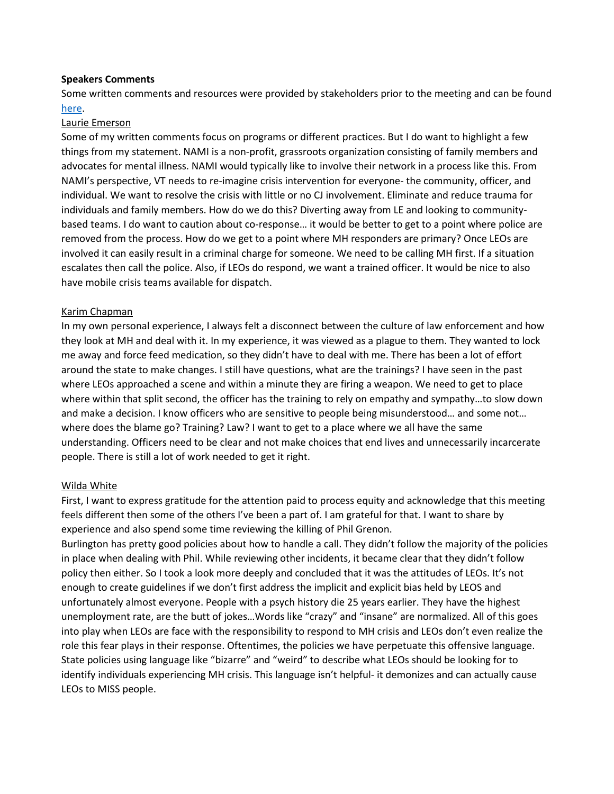#### **Speakers Comments**

Some written comments and resources were provided by stakeholders prior to the meeting and can be found [here.](https://dps.vermont.gov/modernization/uof-appendixD)

#### Laurie Emerson

Some of my written comments focus on programs or different practices. But I do want to highlight a few things from my statement. NAMI is a non-profit, grassroots organization consisting of family members and advocates for mental illness. NAMI would typically like to involve their network in a process like this. From NAMI's perspective, VT needs to re-imagine crisis intervention for everyone- the community, officer, and individual. We want to resolve the crisis with little or no CJ involvement. Eliminate and reduce trauma for individuals and family members. How do we do this? Diverting away from LE and looking to communitybased teams. I do want to caution about co-response… it would be better to get to a point where police are removed from the process. How do we get to a point where MH responders are primary? Once LEOs are involved it can easily result in a criminal charge for someone. We need to be calling MH first. If a situation escalates then call the police. Also, if LEOs do respond, we want a trained officer. It would be nice to also have mobile crisis teams available for dispatch.

### Karim Chapman

In my own personal experience, I always felt a disconnect between the culture of law enforcement and how they look at MH and deal with it. In my experience, it was viewed as a plague to them. They wanted to lock me away and force feed medication, so they didn't have to deal with me. There has been a lot of effort around the state to make changes. I still have questions, what are the trainings? I have seen in the past where LEOs approached a scene and within a minute they are firing a weapon. We need to get to place where within that split second, the officer has the training to rely on empathy and sympathy…to slow down and make a decision. I know officers who are sensitive to people being misunderstood… and some not… where does the blame go? Training? Law? I want to get to a place where we all have the same understanding. Officers need to be clear and not make choices that end lives and unnecessarily incarcerate people. There is still a lot of work needed to get it right.

### Wilda White

First, I want to express gratitude for the attention paid to process equity and acknowledge that this meeting feels different then some of the others I've been a part of. I am grateful for that. I want to share by experience and also spend some time reviewing the killing of Phil Grenon.

Burlington has pretty good policies about how to handle a call. They didn't follow the majority of the policies in place when dealing with Phil. While reviewing other incidents, it became clear that they didn't follow policy then either. So I took a look more deeply and concluded that it was the attitudes of LEOs. It's not enough to create guidelines if we don't first address the implicit and explicit bias held by LEOS and unfortunately almost everyone. People with a psych history die 25 years earlier. They have the highest unemployment rate, are the butt of jokes…Words like "crazy" and "insane" are normalized. All of this goes into play when LEOs are face with the responsibility to respond to MH crisis and LEOs don't even realize the role this fear plays in their response. Oftentimes, the policies we have perpetuate this offensive language. State policies using language like "bizarre" and "weird" to describe what LEOs should be looking for to identify individuals experiencing MH crisis. This language isn't helpful- it demonizes and can actually cause LEOs to MISS people.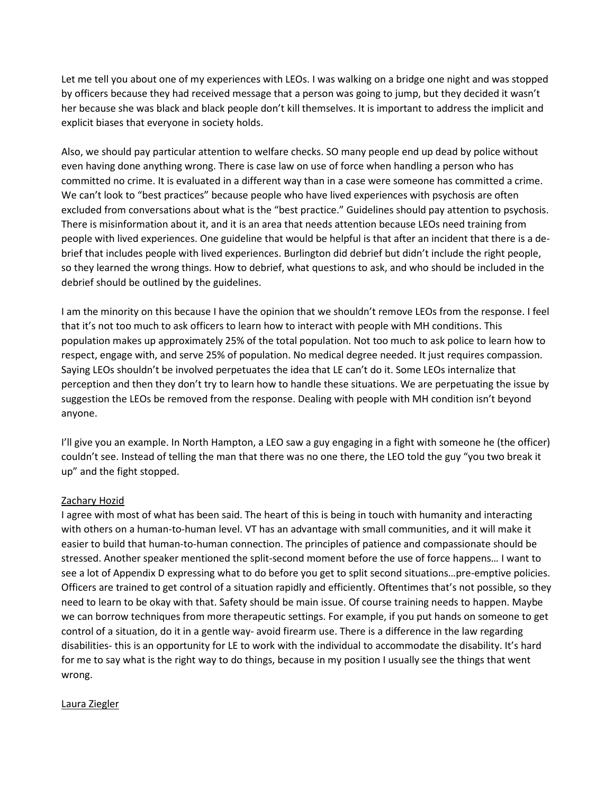Let me tell you about one of my experiences with LEOs. I was walking on a bridge one night and was stopped by officers because they had received message that a person was going to jump, but they decided it wasn't her because she was black and black people don't kill themselves. It is important to address the implicit and explicit biases that everyone in society holds.

Also, we should pay particular attention to welfare checks. SO many people end up dead by police without even having done anything wrong. There is case law on use of force when handling a person who has committed no crime. It is evaluated in a different way than in a case were someone has committed a crime. We can't look to "best practices" because people who have lived experiences with psychosis are often excluded from conversations about what is the "best practice." Guidelines should pay attention to psychosis. There is misinformation about it, and it is an area that needs attention because LEOs need training from people with lived experiences. One guideline that would be helpful is that after an incident that there is a debrief that includes people with lived experiences. Burlington did debrief but didn't include the right people, so they learned the wrong things. How to debrief, what questions to ask, and who should be included in the debrief should be outlined by the guidelines.

I am the minority on this because I have the opinion that we shouldn't remove LEOs from the response. I feel that it's not too much to ask officers to learn how to interact with people with MH conditions. This population makes up approximately 25% of the total population. Not too much to ask police to learn how to respect, engage with, and serve 25% of population. No medical degree needed. It just requires compassion. Saying LEOs shouldn't be involved perpetuates the idea that LE can't do it. Some LEOs internalize that perception and then they don't try to learn how to handle these situations. We are perpetuating the issue by suggestion the LEOs be removed from the response. Dealing with people with MH condition isn't beyond anyone.

I'll give you an example. In North Hampton, a LEO saw a guy engaging in a fight with someone he (the officer) couldn't see. Instead of telling the man that there was no one there, the LEO told the guy "you two break it up" and the fight stopped.

### Zachary Hozid

I agree with most of what has been said. The heart of this is being in touch with humanity and interacting with others on a human-to-human level. VT has an advantage with small communities, and it will make it easier to build that human-to-human connection. The principles of patience and compassionate should be stressed. Another speaker mentioned the split-second moment before the use of force happens… I want to see a lot of Appendix D expressing what to do before you get to split second situations…pre-emptive policies. Officers are trained to get control of a situation rapidly and efficiently. Oftentimes that's not possible, so they need to learn to be okay with that. Safety should be main issue. Of course training needs to happen. Maybe we can borrow techniques from more therapeutic settings. For example, if you put hands on someone to get control of a situation, do it in a gentle way- avoid firearm use. There is a difference in the law regarding disabilities- this is an opportunity for LE to work with the individual to accommodate the disability. It's hard for me to say what is the right way to do things, because in my position I usually see the things that went wrong.

#### Laura Ziegler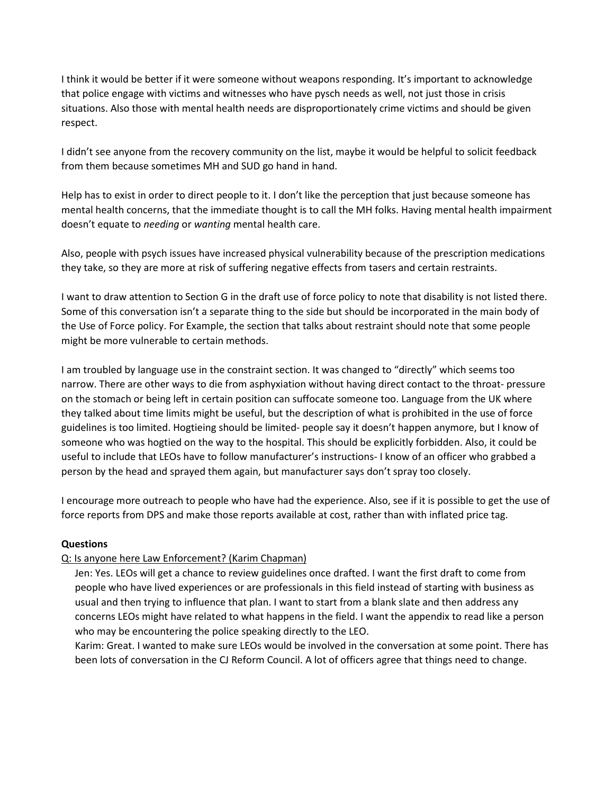I think it would be better if it were someone without weapons responding. It's important to acknowledge that police engage with victims and witnesses who have pysch needs as well, not just those in crisis situations. Also those with mental health needs are disproportionately crime victims and should be given respect.

I didn't see anyone from the recovery community on the list, maybe it would be helpful to solicit feedback from them because sometimes MH and SUD go hand in hand.

Help has to exist in order to direct people to it. I don't like the perception that just because someone has mental health concerns, that the immediate thought is to call the MH folks. Having mental health impairment doesn't equate to *needing* or *wanting* mental health care.

Also, people with psych issues have increased physical vulnerability because of the prescription medications they take, so they are more at risk of suffering negative effects from tasers and certain restraints.

I want to draw attention to Section G in the draft use of force policy to note that disability is not listed there. Some of this conversation isn't a separate thing to the side but should be incorporated in the main body of the Use of Force policy. For Example, the section that talks about restraint should note that some people might be more vulnerable to certain methods.

I am troubled by language use in the constraint section. It was changed to "directly" which seems too narrow. There are other ways to die from asphyxiation without having direct contact to the throat- pressure on the stomach or being left in certain position can suffocate someone too. Language from the UK where they talked about time limits might be useful, but the description of what is prohibited in the use of force guidelines is too limited. Hogtieing should be limited- people say it doesn't happen anymore, but I know of someone who was hogtied on the way to the hospital. This should be explicitly forbidden. Also, it could be useful to include that LEOs have to follow manufacturer's instructions- I know of an officer who grabbed a person by the head and sprayed them again, but manufacturer says don't spray too closely.

I encourage more outreach to people who have had the experience. Also, see if it is possible to get the use of force reports from DPS and make those reports available at cost, rather than with inflated price tag.

# **Questions**

# Q: Is anyone here Law Enforcement? (Karim Chapman)

Jen: Yes. LEOs will get a chance to review guidelines once drafted. I want the first draft to come from people who have lived experiences or are professionals in this field instead of starting with business as usual and then trying to influence that plan. I want to start from a blank slate and then address any concerns LEOs might have related to what happens in the field. I want the appendix to read like a person who may be encountering the police speaking directly to the LEO.

Karim: Great. I wanted to make sure LEOs would be involved in the conversation at some point. There has been lots of conversation in the CJ Reform Council. A lot of officers agree that things need to change.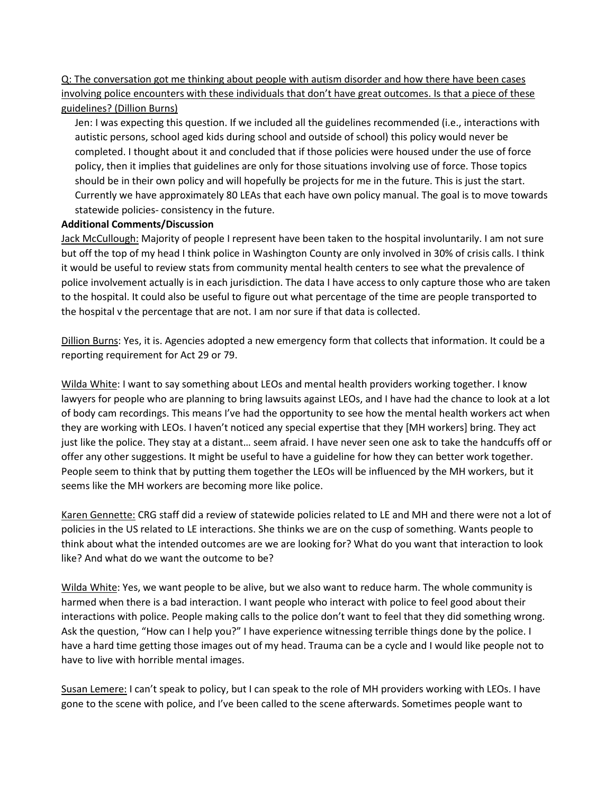Q: The conversation got me thinking about people with autism disorder and how there have been cases involving police encounters with these individuals that don't have great outcomes. Is that a piece of these guidelines? (Dillion Burns)

Jen: I was expecting this question. If we included all the guidelines recommended (i.e., interactions with autistic persons, school aged kids during school and outside of school) this policy would never be completed. I thought about it and concluded that if those policies were housed under the use of force policy, then it implies that guidelines are only for those situations involving use of force. Those topics should be in their own policy and will hopefully be projects for me in the future. This is just the start. Currently we have approximately 80 LEAs that each have own policy manual. The goal is to move towards statewide policies- consistency in the future.

#### **Additional Comments/Discussion**

Jack McCullough: Majority of people I represent have been taken to the hospital involuntarily. I am not sure but off the top of my head I think police in Washington County are only involved in 30% of crisis calls. I think it would be useful to review stats from community mental health centers to see what the prevalence of police involvement actually is in each jurisdiction. The data I have access to only capture those who are taken to the hospital. It could also be useful to figure out what percentage of the time are people transported to the hospital v the percentage that are not. I am nor sure if that data is collected.

Dillion Burns: Yes, it is. Agencies adopted a new emergency form that collects that information. It could be a reporting requirement for Act 29 or 79.

Wilda White: I want to say something about LEOs and mental health providers working together. I know lawyers for people who are planning to bring lawsuits against LEOs, and I have had the chance to look at a lot of body cam recordings. This means I've had the opportunity to see how the mental health workers act when they are working with LEOs. I haven't noticed any special expertise that they [MH workers] bring. They act just like the police. They stay at a distant… seem afraid. I have never seen one ask to take the handcuffs off or offer any other suggestions. It might be useful to have a guideline for how they can better work together. People seem to think that by putting them together the LEOs will be influenced by the MH workers, but it seems like the MH workers are becoming more like police.

Karen Gennette: CRG staff did a review of statewide policies related to LE and MH and there were not a lot of policies in the US related to LE interactions. She thinks we are on the cusp of something. Wants people to think about what the intended outcomes are we are looking for? What do you want that interaction to look like? And what do we want the outcome to be?

Wilda White: Yes, we want people to be alive, but we also want to reduce harm. The whole community is harmed when there is a bad interaction. I want people who interact with police to feel good about their interactions with police. People making calls to the police don't want to feel that they did something wrong. Ask the question, "How can I help you?" I have experience witnessing terrible things done by the police. I have a hard time getting those images out of my head. Trauma can be a cycle and I would like people not to have to live with horrible mental images.

Susan Lemere: I can't speak to policy, but I can speak to the role of MH providers working with LEOs. I have gone to the scene with police, and I've been called to the scene afterwards. Sometimes people want to